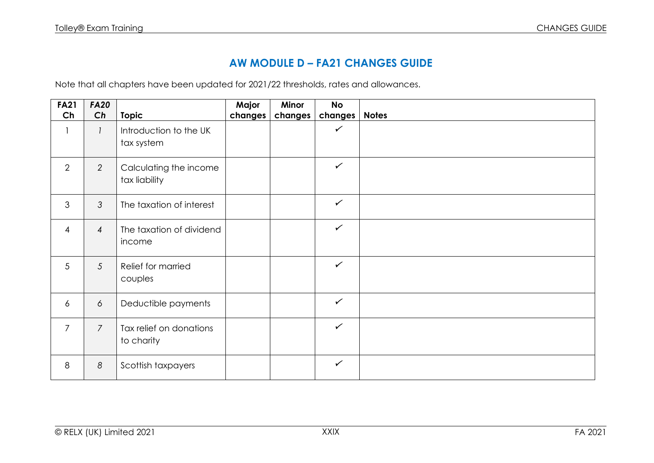## **AW MODULE D – FA21 CHANGES GUIDE**

Note that all chapters have been updated for 2021/22 thresholds, rates and allowances.

| <b>FA21</b>    | <b>FA20</b>    |                                         | Major   | Minor   | <b>No</b>    |              |
|----------------|----------------|-----------------------------------------|---------|---------|--------------|--------------|
| Ch             | Ch             | <b>Topic</b>                            | changes | changes | changes      | <b>Notes</b> |
|                | $\mathcal{I}$  | Introduction to the UK<br>tax system    |         |         | $\checkmark$ |              |
| 2              | $\overline{2}$ | Calculating the income<br>tax liability |         |         | $\checkmark$ |              |
| 3              | $\mathcal{S}$  | The taxation of interest                |         |         | $\checkmark$ |              |
| $\overline{4}$ | $\overline{4}$ | The taxation of dividend<br>income      |         |         | $\checkmark$ |              |
| 5              | $\mathfrak{S}$ | Relief for married<br>couples           |         |         | $\checkmark$ |              |
| $\overline{6}$ | 6              | Deductible payments                     |         |         | $\checkmark$ |              |
| $\overline{7}$ | $\overline{7}$ | Tax relief on donations<br>to charity   |         |         | $\checkmark$ |              |
| 8              | 8              | Scottish taxpayers                      |         |         | $\checkmark$ |              |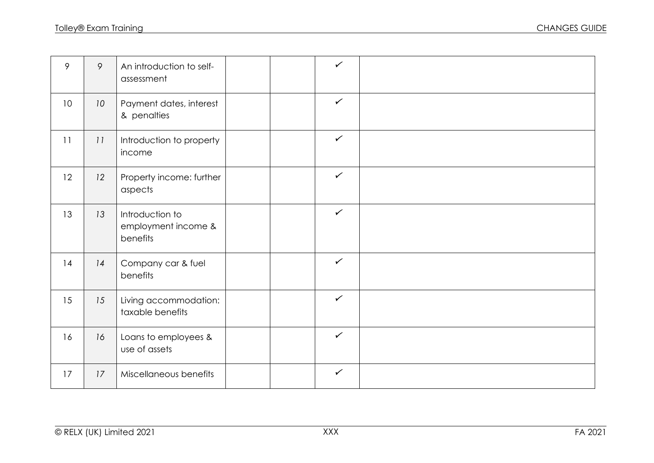| 9               | 9               | An introduction to self-<br>assessment             |  | $\checkmark$ |  |
|-----------------|-----------------|----------------------------------------------------|--|--------------|--|
| 10 <sup>°</sup> | 10 <sup>°</sup> | Payment dates, interest<br>& penalties             |  | $\checkmark$ |  |
| 11              | 11              | Introduction to property<br>income                 |  | $\checkmark$ |  |
| 12              | 12              | Property income: further<br>aspects                |  | $\checkmark$ |  |
| 13              | 13              | Introduction to<br>employment income &<br>benefits |  | $\checkmark$ |  |
| 14              | 14              | Company car & fuel<br>benefits                     |  | $\checkmark$ |  |
| 15              | 15              | Living accommodation:<br>taxable benefits          |  | $\checkmark$ |  |
| 16              | 16              | Loans to employees &<br>use of assets              |  | $\checkmark$ |  |
| 17              | 17              | Miscellaneous benefits                             |  | $\checkmark$ |  |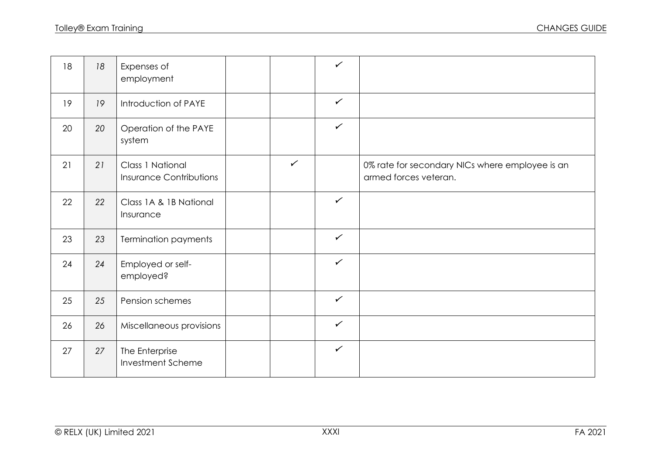| 18 | 18 | Expenses of<br>employment                          |              | $\checkmark$ |                                                                          |
|----|----|----------------------------------------------------|--------------|--------------|--------------------------------------------------------------------------|
| 19 | 19 | Introduction of PAYE                               |              | $\checkmark$ |                                                                          |
| 20 | 20 | Operation of the PAYE<br>system                    |              | $\checkmark$ |                                                                          |
| 21 | 21 | Class 1 National<br><b>Insurance Contributions</b> | $\checkmark$ |              | 0% rate for secondary NICs where employee is an<br>armed forces veteran. |
| 22 | 22 | Class 1A & 1B National<br>Insurance                |              | $\checkmark$ |                                                                          |
| 23 | 23 | <b>Termination payments</b>                        |              | $\checkmark$ |                                                                          |
| 24 | 24 | Employed or self-<br>employed?                     |              | $\checkmark$ |                                                                          |
| 25 | 25 | Pension schemes                                    |              | $\checkmark$ |                                                                          |
| 26 | 26 | Miscellaneous provisions                           |              | $\checkmark$ |                                                                          |
| 27 | 27 | The Enterprise<br><b>Investment Scheme</b>         |              | $\checkmark$ |                                                                          |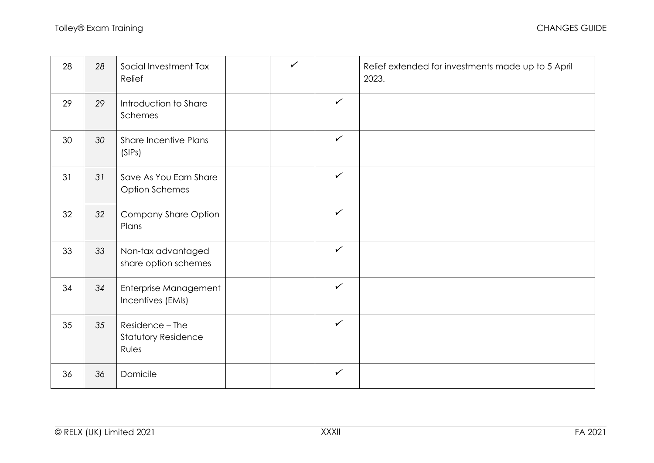| 28 | 28 | Social Investment Tax<br>Relief                        | $\checkmark$ |              | Relief extended for investments made up to 5 April<br>2023. |
|----|----|--------------------------------------------------------|--------------|--------------|-------------------------------------------------------------|
| 29 | 29 | Introduction to Share<br>Schemes                       |              | $\checkmark$ |                                                             |
| 30 | 30 | <b>Share Incentive Plans</b><br>(SIPS)                 |              | $\checkmark$ |                                                             |
| 31 | 31 | Save As You Earn Share<br><b>Option Schemes</b>        |              | $\checkmark$ |                                                             |
| 32 | 32 | Company Share Option<br>Plans                          |              | $\checkmark$ |                                                             |
| 33 | 33 | Non-tax advantaged<br>share option schemes             |              | $\checkmark$ |                                                             |
| 34 | 34 | Enterprise Management<br>Incentives (EMIs)             |              | $\checkmark$ |                                                             |
| 35 | 35 | Residence - The<br><b>Statutory Residence</b><br>Rules |              | $\checkmark$ |                                                             |
| 36 | 36 | Domicile                                               |              | $\checkmark$ |                                                             |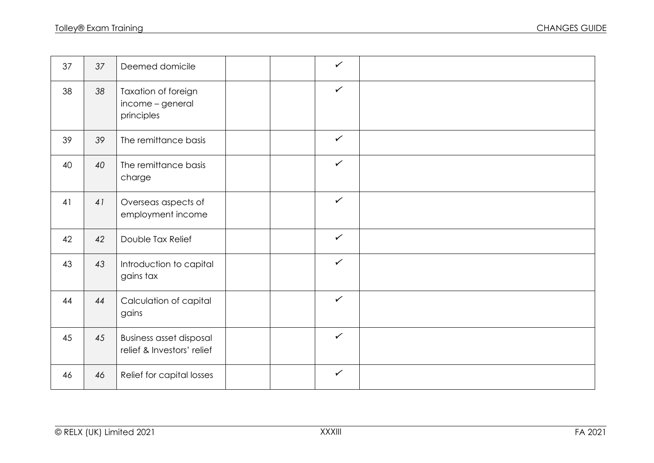| 37 | 37 | Deemed domicile                                              |  | $\checkmark$ |  |
|----|----|--------------------------------------------------------------|--|--------------|--|
| 38 | 38 | Taxation of foreign<br>income - general<br>principles        |  | $\checkmark$ |  |
| 39 | 39 | The remittance basis                                         |  | $\checkmark$ |  |
| 40 | 40 | The remittance basis<br>charge                               |  | $\checkmark$ |  |
| 41 | 41 | Overseas aspects of<br>employment income                     |  | $\checkmark$ |  |
| 42 | 42 | Double Tax Relief                                            |  | $\checkmark$ |  |
| 43 | 43 | Introduction to capital<br>gains tax                         |  | $\checkmark$ |  |
| 44 | 44 | Calculation of capital<br>gains                              |  | $\checkmark$ |  |
| 45 | 45 | <b>Business asset disposal</b><br>relief & Investors' relief |  | $\checkmark$ |  |
| 46 | 46 | Relief for capital losses                                    |  | $\checkmark$ |  |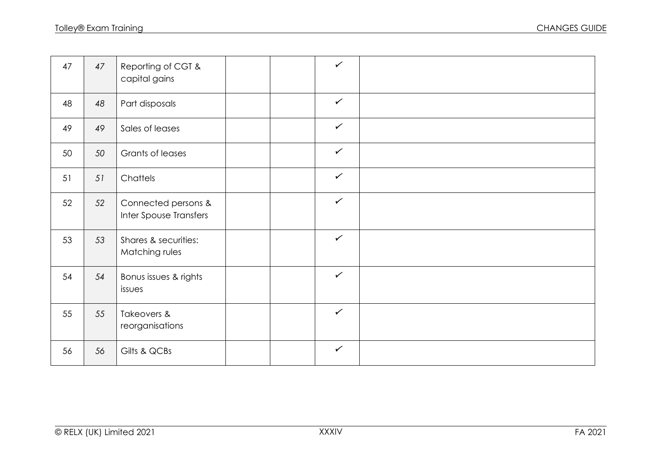| 47 | 47 | Reporting of CGT &<br>capital gains           |  | $\checkmark$ |  |
|----|----|-----------------------------------------------|--|--------------|--|
| 48 | 48 | Part disposals                                |  | $\checkmark$ |  |
| 49 | 49 | Sales of leases                               |  | $\checkmark$ |  |
| 50 | 50 | Grants of leases                              |  | $\checkmark$ |  |
| 51 | 51 | Chattels                                      |  | $\checkmark$ |  |
| 52 | 52 | Connected persons &<br>Inter Spouse Transfers |  | $\checkmark$ |  |
| 53 | 53 | Shares & securities:<br>Matching rules        |  | $\checkmark$ |  |
| 54 | 54 | Bonus issues & rights<br>issues               |  | $\checkmark$ |  |
| 55 | 55 | Takeovers &<br>reorganisations                |  | $\checkmark$ |  |
| 56 | 56 | Gilts & QCBs                                  |  | $\checkmark$ |  |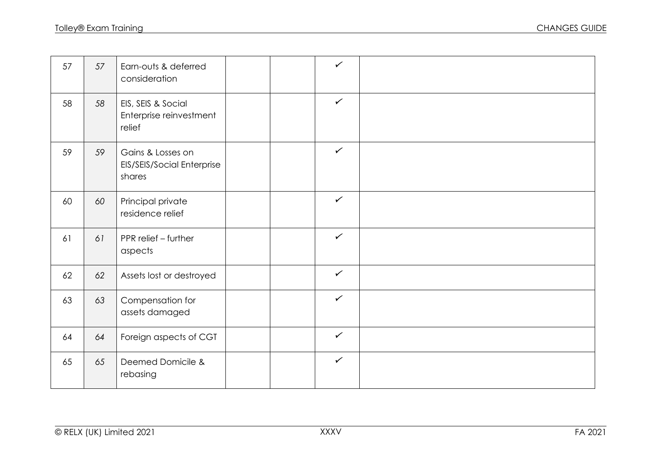| 57 | 57 | Earn-outs & deferred<br>consideration                     |  | $\checkmark$ |  |
|----|----|-----------------------------------------------------------|--|--------------|--|
| 58 | 58 | EIS, SEIS & Social<br>Enterprise reinvestment<br>relief   |  | $\checkmark$ |  |
| 59 | 59 | Gains & Losses on<br>EIS/SEIS/Social Enterprise<br>shares |  | $\checkmark$ |  |
| 60 | 60 | Principal private<br>residence relief                     |  | $\checkmark$ |  |
| 61 | 61 | PPR relief - further<br>aspects                           |  | $\checkmark$ |  |
| 62 | 62 | Assets lost or destroyed                                  |  | $\checkmark$ |  |
| 63 | 63 | Compensation for<br>assets damaged                        |  | $\checkmark$ |  |
| 64 | 64 | Foreign aspects of CGT                                    |  | $\checkmark$ |  |
| 65 | 65 | Deemed Domicile &<br>rebasing                             |  | $\checkmark$ |  |